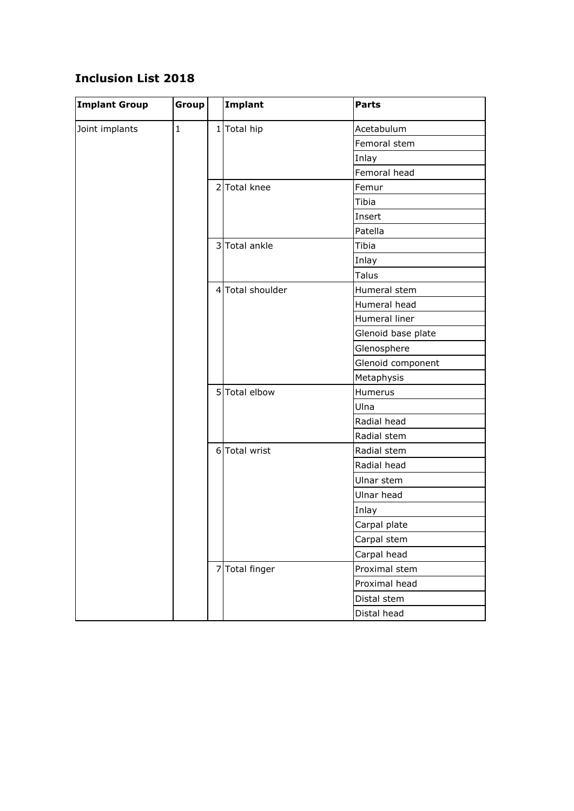## **Inclusion List 2018**

| <b>Implant Group</b> | Group       |  | Implant          | <b>Parts</b>       |
|----------------------|-------------|--|------------------|--------------------|
| Joint implants       | $\mathbf 1$ |  | $1$ Total hip    | Acetabulum         |
|                      |             |  |                  | Femoral stem       |
|                      |             |  |                  | Inlay              |
|                      |             |  |                  | Femoral head       |
|                      |             |  | 2 Total knee     | Femur              |
|                      |             |  |                  | Tibia              |
|                      |             |  |                  | Insert             |
|                      |             |  |                  | Patella            |
|                      |             |  | 3 Total ankle    | Tibia              |
|                      |             |  |                  | Inlay              |
|                      |             |  |                  | <b>Talus</b>       |
|                      |             |  | 4 Total shoulder | Humeral stem       |
|                      |             |  |                  | Humeral head       |
|                      |             |  |                  | Humeral liner      |
|                      |             |  |                  | Glenoid base plate |
|                      |             |  |                  | Glenosphere        |
|                      |             |  |                  | Glenoid component  |
|                      |             |  |                  | Metaphysis         |
|                      |             |  | 5 Total elbow    | Humerus            |
|                      |             |  |                  | Ulna               |
|                      |             |  |                  | Radial head        |
|                      |             |  |                  | Radial stem        |
|                      |             |  | 6 Total wrist    | Radial stem        |
|                      |             |  |                  | Radial head        |
|                      |             |  |                  | Ulnar stem         |
|                      |             |  |                  | Ulnar head         |
|                      |             |  |                  | Inlay              |
|                      |             |  |                  | Carpal plate       |
|                      |             |  |                  | Carpal stem        |
|                      |             |  |                  | Carpal head        |
|                      |             |  | 7 Total finger   | Proximal stem      |
|                      |             |  |                  | Proximal head      |
|                      |             |  |                  | Distal stem        |
|                      |             |  |                  | Distal head        |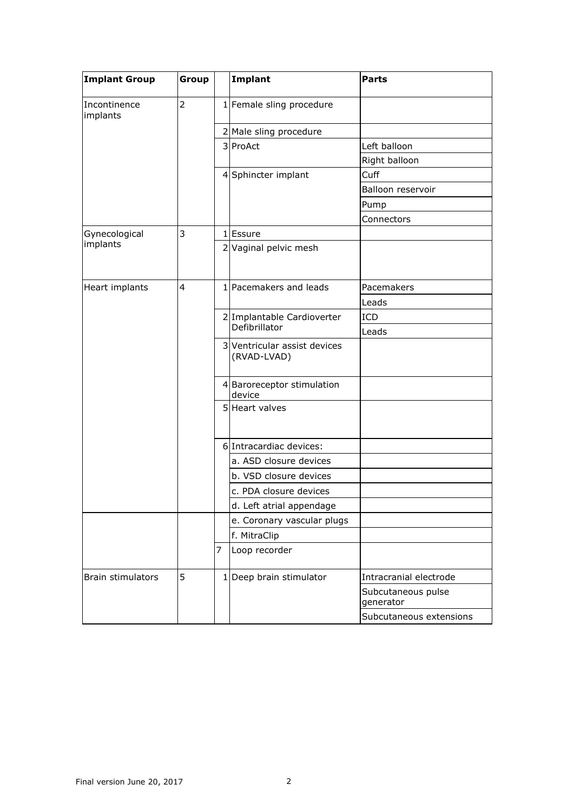| <b>Implant Group</b>     | Group |   | Implant                                     | <b>Parts</b>                    |
|--------------------------|-------|---|---------------------------------------------|---------------------------------|
| Incontinence<br>implants | 2     |   | 1 Female sling procedure                    |                                 |
|                          |       |   | 2 Male sling procedure                      |                                 |
|                          |       |   | 3 ProAct                                    | Left balloon                    |
|                          |       |   |                                             | Right balloon                   |
|                          |       |   | 4 Sphincter implant                         | Cuff                            |
|                          |       |   |                                             | Balloon reservoir               |
|                          |       |   |                                             | Pump                            |
|                          |       |   |                                             | Connectors                      |
| Gynecological            | 3     |   | 1 Essure                                    |                                 |
| implants                 |       |   | 2 Vaginal pelvic mesh                       |                                 |
| Heart implants           | 4     |   | 1 Pacemakers and leads                      | Pacemakers                      |
|                          |       |   |                                             | Leads                           |
|                          |       |   | 2 Implantable Cardioverter<br>Defibrillator | ICD                             |
|                          |       |   |                                             | Leads                           |
|                          |       |   | 3 Ventricular assist devices<br>(RVAD-LVAD) |                                 |
|                          |       |   | 4 Baroreceptor stimulation<br>device        |                                 |
|                          |       |   | 5 Heart valves                              |                                 |
|                          |       |   | 6 Intracardiac devices:                     |                                 |
|                          |       |   | a. ASD closure devices                      |                                 |
|                          |       |   | b. VSD closure devices                      |                                 |
|                          |       |   | c. PDA closure devices                      |                                 |
|                          |       |   | d. Left atrial appendage                    |                                 |
|                          |       |   | e. Coronary vascular plugs                  |                                 |
|                          |       |   | f. MitraClip                                |                                 |
|                          |       | 7 | Loop recorder                               |                                 |
| Brain stimulators        | 5     |   | 1 Deep brain stimulator                     | Intracranial electrode          |
|                          |       |   |                                             | Subcutaneous pulse<br>generator |
|                          |       |   |                                             | Subcutaneous extensions         |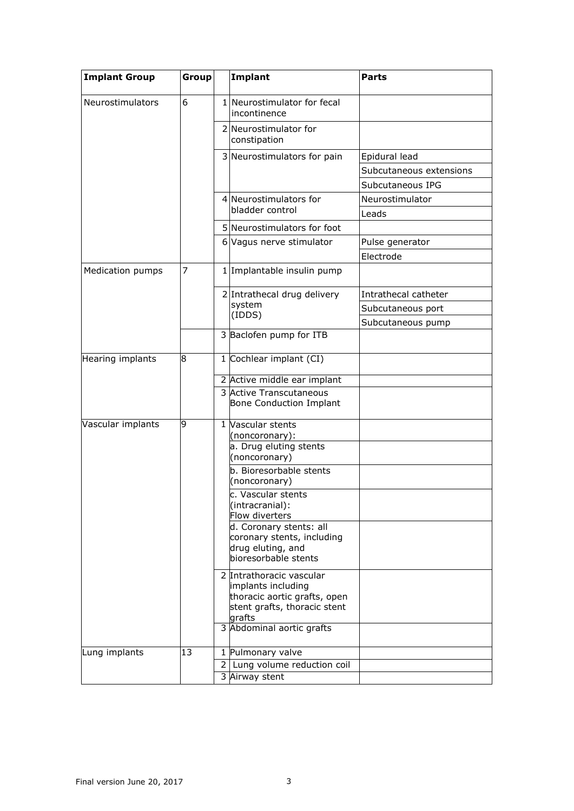| <b>Implant Group</b> | Group          |   | Implant                                                                                                                                                       | <b>Parts</b>            |
|----------------------|----------------|---|---------------------------------------------------------------------------------------------------------------------------------------------------------------|-------------------------|
| Neurostimulators     | 6              |   | 1 Neurostimulator for fecal<br>incontinence                                                                                                                   |                         |
|                      |                |   | 2 Neurostimulator for<br>constipation                                                                                                                         |                         |
|                      |                |   | 3 Neurostimulators for pain                                                                                                                                   | Epidural lead           |
|                      |                |   |                                                                                                                                                               | Subcutaneous extensions |
|                      |                |   |                                                                                                                                                               | Subcutaneous IPG        |
|                      |                |   | 4 Neurostimulators for<br>bladder control                                                                                                                     | Neurostimulator         |
|                      |                |   |                                                                                                                                                               | Leads                   |
|                      |                |   | 5 Neurostimulators for foot                                                                                                                                   |                         |
|                      |                |   | 6 Vagus nerve stimulator                                                                                                                                      | Pulse generator         |
|                      |                |   |                                                                                                                                                               | Electrode               |
| Medication pumps     | $\overline{7}$ |   | 1 Implantable insulin pump                                                                                                                                    |                         |
|                      |                |   | 2 Intrathecal drug delivery<br>system                                                                                                                         | Intrathecal catheter    |
|                      |                |   |                                                                                                                                                               | Subcutaneous port       |
|                      |                |   | (IDDS)                                                                                                                                                        | Subcutaneous pump       |
|                      |                |   | 3 Baclofen pump for ITB                                                                                                                                       |                         |
| Hearing implants     | 8              |   | 1 Cochlear implant (CI)                                                                                                                                       |                         |
|                      |                |   | 2 Active middle ear implant<br>3 Active Transcutaneous<br>Bone Conduction Implant                                                                             |                         |
| Vascular implants    | 9              |   | 1 Vascular stents<br>(noncoronary):<br>a. Drug eluting stents<br>(noncoronary)                                                                                |                         |
|                      |                |   | b. Bioresorbable stents<br>(noncoronary)                                                                                                                      |                         |
|                      |                |   | c. Vascular stents<br>(intracranial):<br>Flow diverters<br>d. Coronary stents: all<br>coronary stents, including<br>drug eluting, and<br>bioresorbable stents |                         |
|                      |                |   | 2 Intrathoracic vascular<br>implants including<br>thoracic aortic grafts, open<br>stent grafts, thoracic stent<br>grafts                                      |                         |
|                      |                |   | 3 Abdominal aortic grafts                                                                                                                                     |                         |
| Lung implants        | 13             |   | 1 Pulmonary valve                                                                                                                                             |                         |
|                      |                | 2 | Lung volume reduction coil                                                                                                                                    |                         |
|                      |                |   | 3 Airway stent                                                                                                                                                |                         |